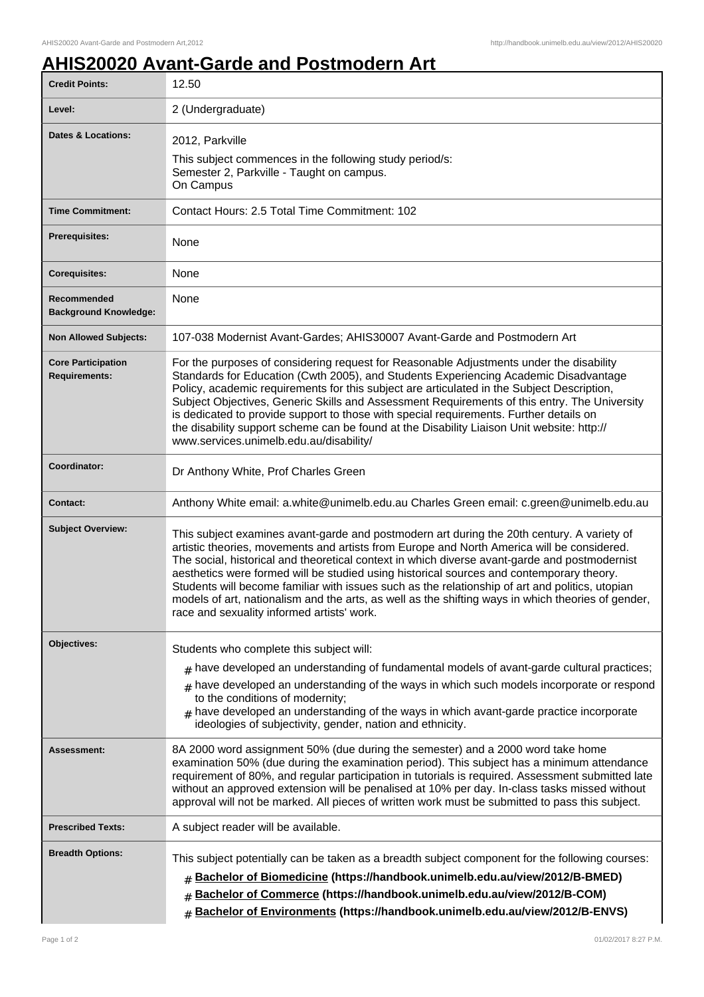## **AHIS20020 Avant-Garde and Postmodern Art**

| <b>Credit Points:</b>                             | 12.50                                                                                                                                                                                                                                                                                                                                                                                                                                                                                                                                                                                                                                        |
|---------------------------------------------------|----------------------------------------------------------------------------------------------------------------------------------------------------------------------------------------------------------------------------------------------------------------------------------------------------------------------------------------------------------------------------------------------------------------------------------------------------------------------------------------------------------------------------------------------------------------------------------------------------------------------------------------------|
| Level:                                            | 2 (Undergraduate)                                                                                                                                                                                                                                                                                                                                                                                                                                                                                                                                                                                                                            |
| <b>Dates &amp; Locations:</b>                     | 2012, Parkville<br>This subject commences in the following study period/s:<br>Semester 2, Parkville - Taught on campus.<br>On Campus                                                                                                                                                                                                                                                                                                                                                                                                                                                                                                         |
| <b>Time Commitment:</b>                           | Contact Hours: 2.5 Total Time Commitment: 102                                                                                                                                                                                                                                                                                                                                                                                                                                                                                                                                                                                                |
| <b>Prerequisites:</b>                             | None                                                                                                                                                                                                                                                                                                                                                                                                                                                                                                                                                                                                                                         |
| <b>Corequisites:</b>                              | None                                                                                                                                                                                                                                                                                                                                                                                                                                                                                                                                                                                                                                         |
| Recommended<br><b>Background Knowledge:</b>       | None                                                                                                                                                                                                                                                                                                                                                                                                                                                                                                                                                                                                                                         |
| <b>Non Allowed Subjects:</b>                      | 107-038 Modernist Avant-Gardes; AHIS30007 Avant-Garde and Postmodern Art                                                                                                                                                                                                                                                                                                                                                                                                                                                                                                                                                                     |
| <b>Core Participation</b><br><b>Requirements:</b> | For the purposes of considering request for Reasonable Adjustments under the disability<br>Standards for Education (Cwth 2005), and Students Experiencing Academic Disadvantage<br>Policy, academic requirements for this subject are articulated in the Subject Description,<br>Subject Objectives, Generic Skills and Assessment Requirements of this entry. The University<br>is dedicated to provide support to those with special requirements. Further details on<br>the disability support scheme can be found at the Disability Liaison Unit website: http://<br>www.services.unimelb.edu.au/disability/                             |
| Coordinator:                                      | Dr Anthony White, Prof Charles Green                                                                                                                                                                                                                                                                                                                                                                                                                                                                                                                                                                                                         |
| <b>Contact:</b>                                   | Anthony White email: a.white@unimelb.edu.au Charles Green email: c.green@unimelb.edu.au                                                                                                                                                                                                                                                                                                                                                                                                                                                                                                                                                      |
| <b>Subject Overview:</b>                          | This subject examines avant-garde and postmodern art during the 20th century. A variety of<br>artistic theories, movements and artists from Europe and North America will be considered.<br>The social, historical and theoretical context in which diverse avant-garde and postmodernist<br>aesthetics were formed will be studied using historical sources and contemporary theory.<br>Students will become familiar with issues such as the relationship of art and politics, utopian<br>models of art, nationalism and the arts, as well as the shifting ways in which theories of gender,<br>race and sexuality informed artists' work. |
| Objectives:                                       | Students who complete this subject will:<br>have developed an understanding of fundamental models of avant-garde cultural practices;<br>#<br>have developed an understanding of the ways in which such models incorporate or respond<br>to the conditions of modernity;<br>$#$ have developed an understanding of the ways in which avant-garde practice incorporate<br>ideologies of subjectivity, gender, nation and ethnicity.                                                                                                                                                                                                            |
| Assessment:                                       | 8A 2000 word assignment 50% (due during the semester) and a 2000 word take home<br>examination 50% (due during the examination period). This subject has a minimum attendance<br>requirement of 80%, and regular participation in tutorials is required. Assessment submitted late<br>without an approved extension will be penalised at 10% per day. In-class tasks missed without<br>approval will not be marked. All pieces of written work must be submitted to pass this subject.                                                                                                                                                       |
| <b>Prescribed Texts:</b>                          | A subject reader will be available.                                                                                                                                                                                                                                                                                                                                                                                                                                                                                                                                                                                                          |
| <b>Breadth Options:</b>                           | This subject potentially can be taken as a breadth subject component for the following courses:<br>Bachelor of Biomedicine (https://handbook.unimelb.edu.au/view/2012/B-BMED)<br>Bachelor of Commerce (https://handbook.unimelb.edu.au/view/2012/B-COM)<br>#<br>Bachelor of Environments (https://handbook.unimelb.edu.au/view/2012/B-ENVS)<br>$\#$                                                                                                                                                                                                                                                                                          |